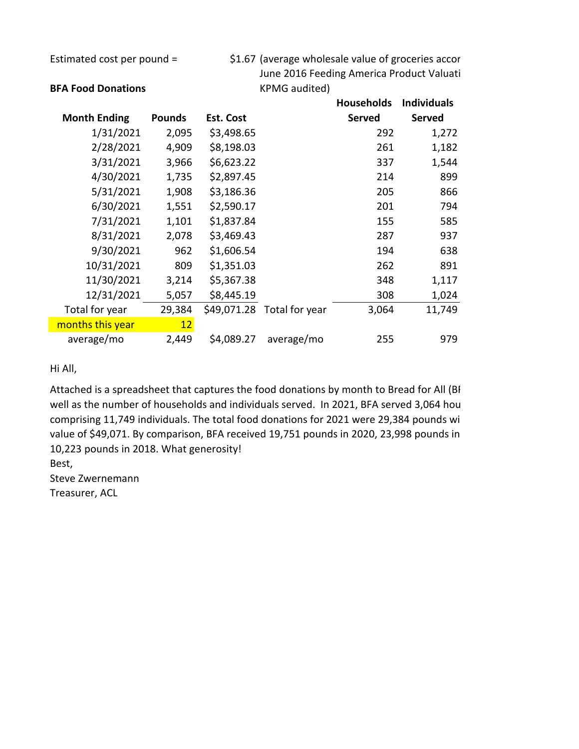Estimated cost per pound = \$1.67 (average wholesale value of groceries accor June 2016 Feeding America Product Valuati

|                     |               |                  |                | <b>Households</b> | <b>Individuals</b> |
|---------------------|---------------|------------------|----------------|-------------------|--------------------|
| <b>Month Ending</b> | <b>Pounds</b> | <b>Est. Cost</b> |                | <b>Served</b>     | <b>Served</b>      |
| 1/31/2021           | 2,095         | \$3,498.65       |                | 292               | 1,272              |
| 2/28/2021           | 4,909         | \$8,198.03       |                | 261               | 1,182              |
| 3/31/2021           | 3,966         | \$6,623.22       |                | 337               | 1,544              |
| 4/30/2021           | 1,735         | \$2,897.45       |                | 214               | 899                |
| 5/31/2021           | 1,908         | \$3,186.36       |                | 205               | 866                |
| 6/30/2021           | 1,551         | \$2,590.17       |                | 201               | 794                |
| 7/31/2021           | 1,101         | \$1,837.84       |                | 155               | 585                |
| 8/31/2021           | 2,078         | \$3,469.43       |                | 287               | 937                |
| 9/30/2021           | 962           | \$1,606.54       |                | 194               | 638                |
| 10/31/2021          | 809           | \$1,351.03       |                | 262               | 891                |
| 11/30/2021          | 3,214         | \$5,367.38       |                | 348               | 1,117              |
| 12/31/2021          | 5,057         | \$8,445.19       |                | 308               | 1,024              |
| Total for year      | 29,384        | \$49,071.28      | Total for year | 3,064             | 11,749             |
| months this year    | 12            |                  |                |                   |                    |
| average/mo          | 2,449         | \$4,089.27       | average/mo     | 255               | 979                |

## Hi All,

Attached is a spreadsheet that captures the food donations by month to Bread for All (BF well as the number of households and individuals served. In 2021, BFA served 3,064 hou comprising 11,749 individuals. The total food donations for 2021 were 29,384 pounds wi value of \$49,071. By comparison, BFA received 19,751 pounds in 2020, 23,998 pounds in 10,223 pounds in 2018. What generosity!

Best,

Steve Zwernemann Treasurer, ACL

## **BFA Food Donations** KPMG audited)